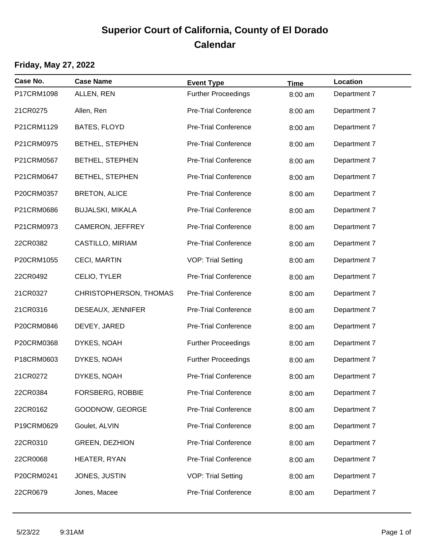# **Superior Court of California, County of El Dorado Calendar**

### **Friday, May 27, 2022**

| Case No.   | <b>Case Name</b>        | <b>Event Type</b>           | <b>Time</b> | Location     |
|------------|-------------------------|-----------------------------|-------------|--------------|
| P17CRM1098 | ALLEN, REN              | <b>Further Proceedings</b>  | 8:00 am     | Department 7 |
| 21CR0275   | Allen, Ren              | Pre-Trial Conference        | 8:00 am     | Department 7 |
| P21CRM1129 | <b>BATES, FLOYD</b>     | Pre-Trial Conference        | 8:00 am     | Department 7 |
| P21CRM0975 | BETHEL, STEPHEN         | <b>Pre-Trial Conference</b> | 8:00 am     | Department 7 |
| P21CRM0567 | BETHEL, STEPHEN         | Pre-Trial Conference        | 8:00 am     | Department 7 |
| P21CRM0647 | <b>BETHEL, STEPHEN</b>  | Pre-Trial Conference        | 8:00 am     | Department 7 |
| P20CRM0357 | <b>BRETON, ALICE</b>    | Pre-Trial Conference        | 8:00 am     | Department 7 |
| P21CRM0686 | <b>BUJALSKI, MIKALA</b> | <b>Pre-Trial Conference</b> | 8:00 am     | Department 7 |
| P21CRM0973 | CAMERON, JEFFREY        | Pre-Trial Conference        | 8:00 am     | Department 7 |
| 22CR0382   | CASTILLO, MIRIAM        | Pre-Trial Conference        | 8:00 am     | Department 7 |
| P20CRM1055 | CECI, MARTIN            | <b>VOP: Trial Setting</b>   | 8:00 am     | Department 7 |
| 22CR0492   | CELIO, TYLER            | <b>Pre-Trial Conference</b> | 8:00 am     | Department 7 |
| 21CR0327   | CHRISTOPHERSON, THOMAS  | Pre-Trial Conference        | 8:00 am     | Department 7 |
| 21CR0316   | DESEAUX, JENNIFER       | Pre-Trial Conference        | 8:00 am     | Department 7 |
| P20CRM0846 | DEVEY, JARED            | Pre-Trial Conference        | 8:00 am     | Department 7 |
| P20CRM0368 | DYKES, NOAH             | <b>Further Proceedings</b>  | 8:00 am     | Department 7 |
| P18CRM0603 | DYKES, NOAH             | <b>Further Proceedings</b>  | 8:00 am     | Department 7 |
| 21CR0272   | DYKES, NOAH             | <b>Pre-Trial Conference</b> | 8:00 am     | Department 7 |
| 22CR0384   | FORSBERG, ROBBIE        | Pre-Trial Conference        | 8:00 am     | Department 7 |
| 22CR0162   | GOODNOW, GEORGE         | Pre-Trial Conference        | 8:00 am     | Department 7 |
| P19CRM0629 | Goulet, ALVIN           | Pre-Trial Conference        | 8:00 am     | Department 7 |
| 22CR0310   | <b>GREEN, DEZHION</b>   | Pre-Trial Conference        | 8:00 am     | Department 7 |
| 22CR0068   | HEATER, RYAN            | Pre-Trial Conference        | 8:00 am     | Department 7 |
| P20CRM0241 | JONES, JUSTIN           | <b>VOP: Trial Setting</b>   | 8:00 am     | Department 7 |
| 22CR0679   | Jones, Macee            | <b>Pre-Trial Conference</b> | 8:00 am     | Department 7 |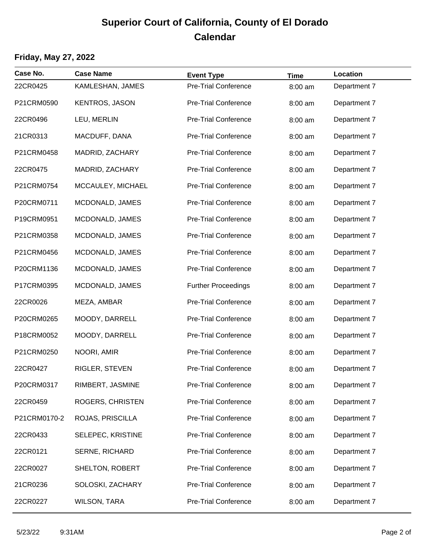## **Superior Court of California, County of El Dorado Calendar**

#### **Friday, May 27, 2022**

| Case No.     | <b>Case Name</b>      | <b>Event Type</b>           | <b>Time</b> | Location     |
|--------------|-----------------------|-----------------------------|-------------|--------------|
| 22CR0425     | KAMLESHAN, JAMES      | <b>Pre-Trial Conference</b> | 8:00 am     | Department 7 |
| P21CRM0590   | <b>KENTROS, JASON</b> | <b>Pre-Trial Conference</b> | 8:00 am     | Department 7 |
| 22CR0496     | LEU, MERLIN           | <b>Pre-Trial Conference</b> | 8:00 am     | Department 7 |
| 21CR0313     | MACDUFF, DANA         | <b>Pre-Trial Conference</b> | 8:00 am     | Department 7 |
| P21CRM0458   | MADRID, ZACHARY       | <b>Pre-Trial Conference</b> | 8:00 am     | Department 7 |
| 22CR0475     | MADRID, ZACHARY       | <b>Pre-Trial Conference</b> | 8:00 am     | Department 7 |
| P21CRM0754   | MCCAULEY, MICHAEL     | <b>Pre-Trial Conference</b> | 8:00 am     | Department 7 |
| P20CRM0711   | MCDONALD, JAMES       | <b>Pre-Trial Conference</b> | 8:00 am     | Department 7 |
| P19CRM0951   | MCDONALD, JAMES       | <b>Pre-Trial Conference</b> | 8:00 am     | Department 7 |
| P21CRM0358   | MCDONALD, JAMES       | <b>Pre-Trial Conference</b> | 8:00 am     | Department 7 |
| P21CRM0456   | MCDONALD, JAMES       | <b>Pre-Trial Conference</b> | 8:00 am     | Department 7 |
| P20CRM1136   | MCDONALD, JAMES       | <b>Pre-Trial Conference</b> | 8:00 am     | Department 7 |
| P17CRM0395   | MCDONALD, JAMES       | <b>Further Proceedings</b>  | 8:00 am     | Department 7 |
| 22CR0026     | MEZA, AMBAR           | <b>Pre-Trial Conference</b> | 8:00 am     | Department 7 |
| P20CRM0265   | MOODY, DARRELL        | <b>Pre-Trial Conference</b> | 8:00 am     | Department 7 |
| P18CRM0052   | MOODY, DARRELL        | <b>Pre-Trial Conference</b> | 8:00 am     | Department 7 |
| P21CRM0250   | NOORI, AMIR           | <b>Pre-Trial Conference</b> | 8:00 am     | Department 7 |
| 22CR0427     | RIGLER, STEVEN        | <b>Pre-Trial Conference</b> | 8:00 am     | Department 7 |
| P20CRM0317   | RIMBERT, JASMINE      | Pre-Trial Conference        | 8:00 am     | Department 7 |
| 22CR0459     | ROGERS, CHRISTEN      | <b>Pre-Trial Conference</b> | 8:00 am     | Department 7 |
| P21CRM0170-2 | ROJAS, PRISCILLA      | <b>Pre-Trial Conference</b> | 8:00 am     | Department 7 |
| 22CR0433     | SELEPEC, KRISTINE     | <b>Pre-Trial Conference</b> | 8:00 am     | Department 7 |
| 22CR0121     | SERNE, RICHARD        | <b>Pre-Trial Conference</b> | 8:00 am     | Department 7 |
| 22CR0027     | SHELTON, ROBERT       | <b>Pre-Trial Conference</b> | 8:00 am     | Department 7 |
| 21CR0236     | SOLOSKI, ZACHARY      | <b>Pre-Trial Conference</b> | 8:00 am     | Department 7 |
| 22CR0227     | <b>WILSON, TARA</b>   | <b>Pre-Trial Conference</b> | 8:00 am     | Department 7 |